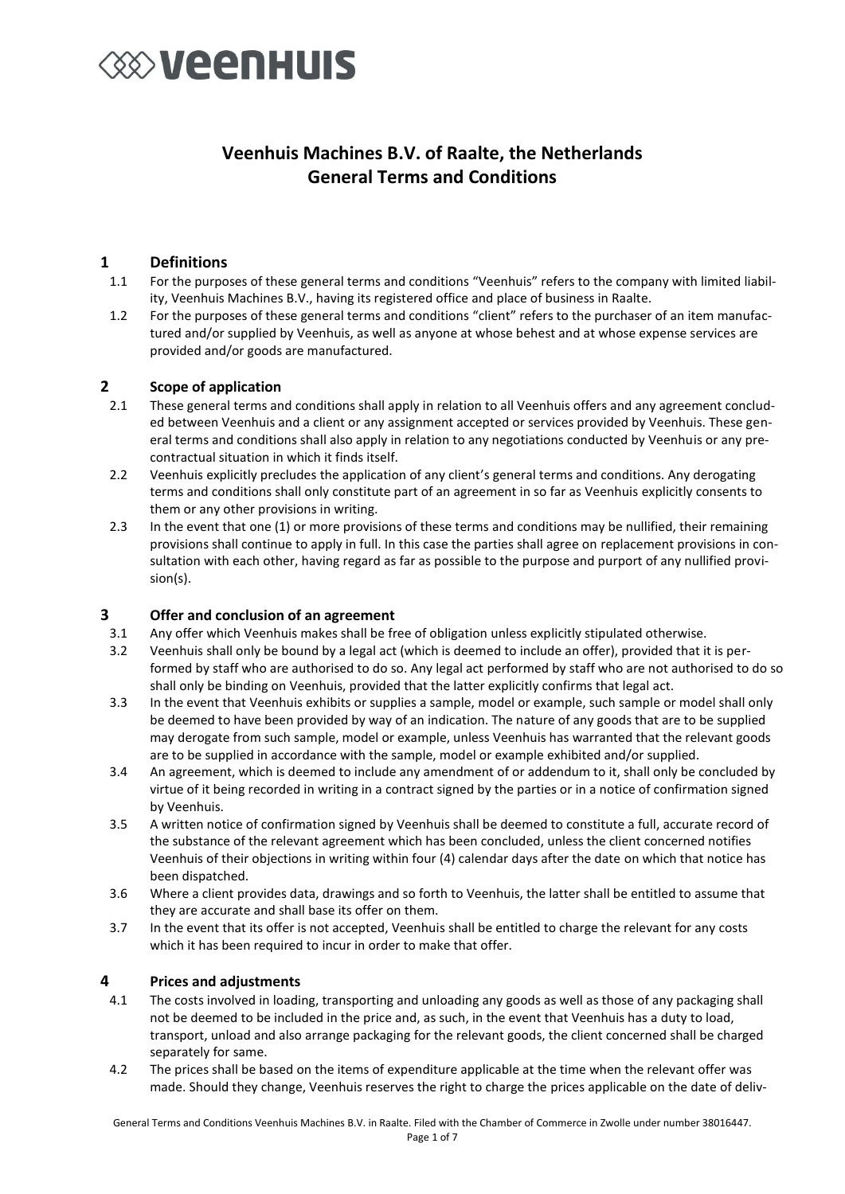### **EXAMPLE THE VEHICLE**

### **Veenhuis Machines B.V. of Raalte, the Netherlands General Terms and Conditions**

#### **1 Definitions**

- 1.1 For the purposes of these general terms and conditions "Veenhuis" refers to the company with limited liability, Veenhuis Machines B.V., having its registered office and place of business in Raalte.
- 1.2 For the purposes of these general terms and conditions "client" refers to the purchaser of an item manufactured and/or supplied by Veenhuis, as well as anyone at whose behest and at whose expense services are provided and/or goods are manufactured.

#### **2 Scope of application**

- 2.1 These general terms and conditions shall apply in relation to all Veenhuis offers and any agreement concluded between Veenhuis and a client or any assignment accepted or services provided by Veenhuis. These general terms and conditions shall also apply in relation to any negotiations conducted by Veenhuis or any precontractual situation in which it finds itself.
- 2.2 Veenhuis explicitly precludes the application of any client's general terms and conditions. Any derogating terms and conditions shall only constitute part of an agreement in so far as Veenhuis explicitly consents to them or any other provisions in writing.
- 2.3 In the event that one (1) or more provisions of these terms and conditions may be nullified, their remaining provisions shall continue to apply in full. In this case the parties shall agree on replacement provisions in consultation with each other, having regard as far as possible to the purpose and purport of any nullified provision(s).

#### **3 Offer and conclusion of an agreement**

- 3.1 Any offer which Veenhuis makes shall be free of obligation unless explicitly stipulated otherwise.
- 3.2 Veenhuis shall only be bound by a legal act (which is deemed to include an offer), provided that it is performed by staff who are authorised to do so. Any legal act performed by staff who are not authorised to do so shall only be binding on Veenhuis, provided that the latter explicitly confirms that legal act.
- 3.3 In the event that Veenhuis exhibits or supplies a sample, model or example, such sample or model shall only be deemed to have been provided by way of an indication. The nature of any goods that are to be supplied may derogate from such sample, model or example, unless Veenhuis has warranted that the relevant goods are to be supplied in accordance with the sample, model or example exhibited and/or supplied.
- 3.4 An agreement, which is deemed to include any amendment of or addendum to it, shall only be concluded by virtue of it being recorded in writing in a contract signed by the parties or in a notice of confirmation signed by Veenhuis.
- 3.5 A written notice of confirmation signed by Veenhuis shall be deemed to constitute a full, accurate record of the substance of the relevant agreement which has been concluded, unless the client concerned notifies Veenhuis of their objections in writing within four (4) calendar days after the date on which that notice has been dispatched.
- 3.6 Where a client provides data, drawings and so forth to Veenhuis, the latter shall be entitled to assume that they are accurate and shall base its offer on them.
- 3.7 In the event that its offer is not accepted, Veenhuis shall be entitled to charge the relevant for any costs which it has been required to incur in order to make that offer.

#### **4 Prices and adjustments**

- 4.1 The costs involved in loading, transporting and unloading any goods as well as those of any packaging shall not be deemed to be included in the price and, as such, in the event that Veenhuis has a duty to load, transport, unload and also arrange packaging for the relevant goods, the client concerned shall be charged separately for same.
- 4.2 The prices shall be based on the items of expenditure applicable at the time when the relevant offer was made. Should they change, Veenhuis reserves the right to charge the prices applicable on the date of deliv-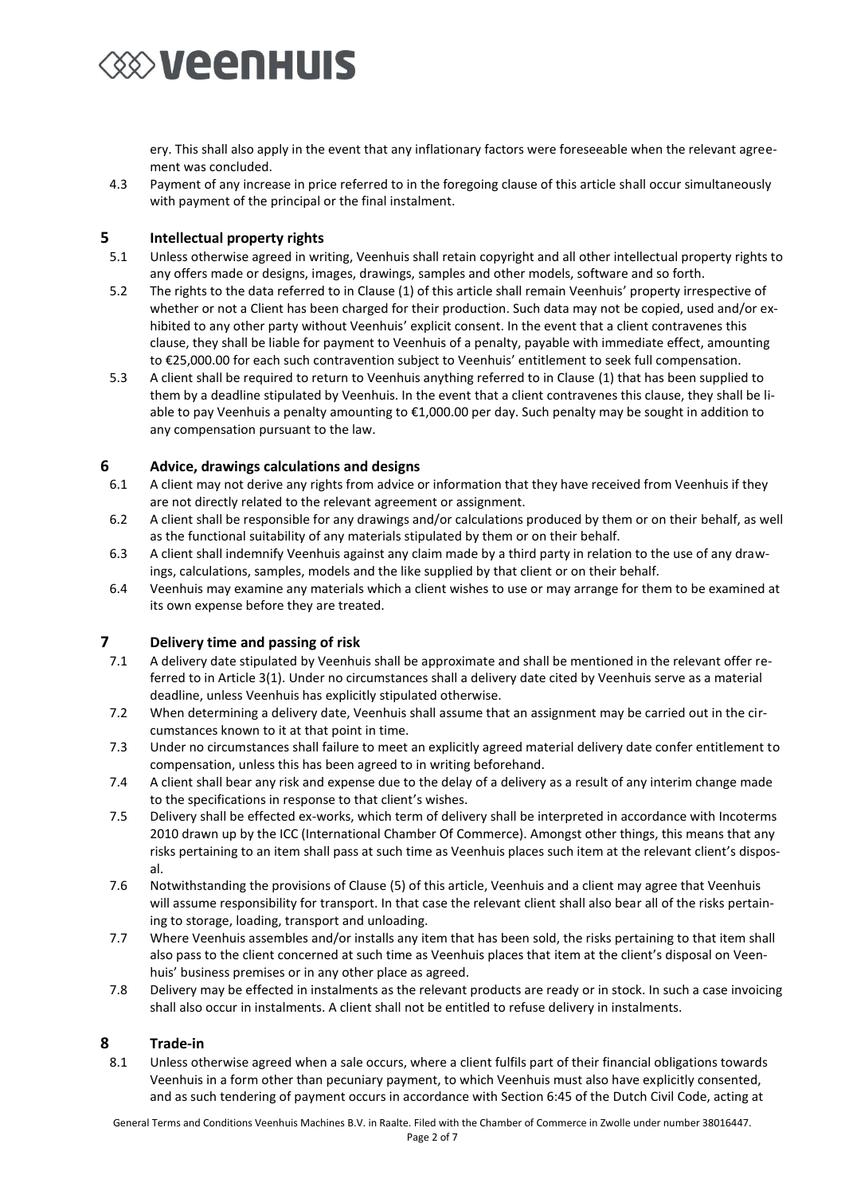

ery. This shall also apply in the event that any inflationary factors were foreseeable when the relevant agreement was concluded.

4.3 Payment of any increase in price referred to in the foregoing clause of this article shall occur simultaneously with payment of the principal or the final instalment.

#### **5 Intellectual property rights**

- 5.1 Unless otherwise agreed in writing, Veenhuis shall retain copyright and all other intellectual property rights to any offers made or designs, images, drawings, samples and other models, software and so forth.
- 5.2 The rights to the data referred to in Clause (1) of this article shall remain Veenhuis' property irrespective of whether or not a Client has been charged for their production. Such data may not be copied, used and/or exhibited to any other party without Veenhuis' explicit consent. In the event that a client contravenes this clause, they shall be liable for payment to Veenhuis of a penalty, payable with immediate effect, amounting to €25,000.00 for each such contravention subject to Veenhuis' entitlement to seek full compensation.
- 5.3 A client shall be required to return to Veenhuis anything referred to in Clause (1) that has been supplied to them by a deadline stipulated by Veenhuis. In the event that a client contravenes this clause, they shall be liable to pay Veenhuis a penalty amounting to €1,000.00 per day. Such penalty may be sought in addition to any compensation pursuant to the law.

#### **6 Advice, drawings calculations and designs**

- 6.1 A client may not derive any rights from advice or information that they have received from Veenhuis if they are not directly related to the relevant agreement or assignment.
- 6.2 A client shall be responsible for any drawings and/or calculations produced by them or on their behalf, as well as the functional suitability of any materials stipulated by them or on their behalf.
- 6.3 A client shall indemnify Veenhuis against any claim made by a third party in relation to the use of any drawings, calculations, samples, models and the like supplied by that client or on their behalf.
- 6.4 Veenhuis may examine any materials which a client wishes to use or may arrange for them to be examined at its own expense before they are treated.

### **7 Delivery time and passing of risk**<br>**7.1** A delivery date stipulated by Veenhu

- 7.1 A delivery date stipulated by Veenhuis shall be approximate and shall be mentioned in the relevant offer referred to in Article 3(1). Under no circumstances shall a delivery date cited by Veenhuis serve as a material deadline, unless Veenhuis has explicitly stipulated otherwise.
- 7.2 When determining a delivery date, Veenhuis shall assume that an assignment may be carried out in the circumstances known to it at that point in time.
- 7.3 Under no circumstances shall failure to meet an explicitly agreed material delivery date confer entitlement to compensation, unless this has been agreed to in writing beforehand.
- 7.4 A client shall bear any risk and expense due to the delay of a delivery as a result of any interim change made to the specifications in response to that client's wishes.
- 7.5 Delivery shall be effected ex-works, which term of delivery shall be interpreted in accordance with Incoterms 2010 drawn up by the ICC (International Chamber Of Commerce). Amongst other things, this means that any risks pertaining to an item shall pass at such time as Veenhuis places such item at the relevant client's disposal.
- 7.6 Notwithstanding the provisions of Clause (5) of this article, Veenhuis and a client may agree that Veenhuis will assume responsibility for transport. In that case the relevant client shall also bear all of the risks pertaining to storage, loading, transport and unloading.
- 7.7 Where Veenhuis assembles and/or installs any item that has been sold, the risks pertaining to that item shall also pass to the client concerned at such time as Veenhuis places that item at the client's disposal on Veenhuis' business premises or in any other place as agreed.
- 7.8 Delivery may be effected in instalments as the relevant products are ready or in stock. In such a case invoicing shall also occur in instalments. A client shall not be entitled to refuse delivery in instalments.

#### **8 Trade-in**

8.1 Unless otherwise agreed when a sale occurs, where a client fulfils part of their financial obligations towards Veenhuis in a form other than pecuniary payment, to which Veenhuis must also have explicitly consented, and as such tendering of payment occurs in accordance with Section 6:45 of the Dutch Civil Code, acting at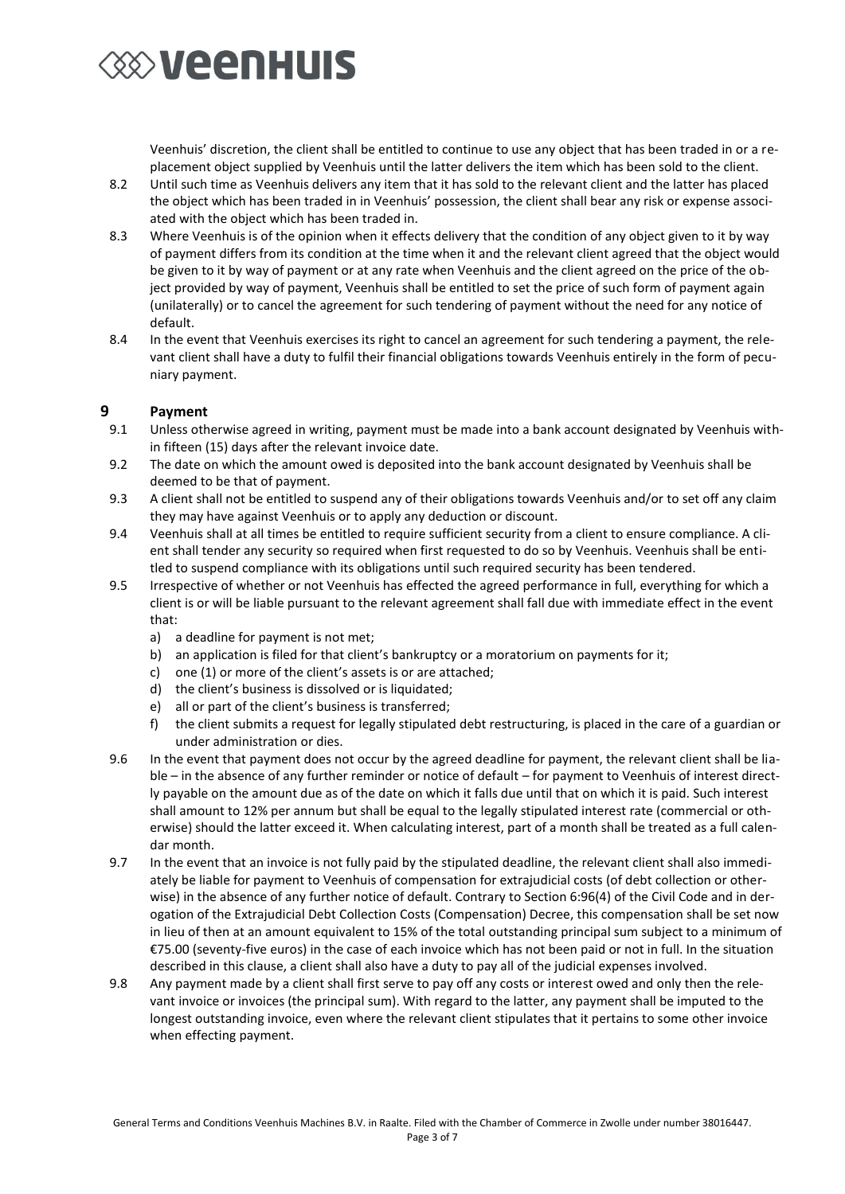

Veenhuis' discretion, the client shall be entitled to continue to use any object that has been traded in or a replacement object supplied by Veenhuis until the latter delivers the item which has been sold to the client.

- 8.2 Until such time as Veenhuis delivers any item that it has sold to the relevant client and the latter has placed the object which has been traded in in Veenhuis' possession, the client shall bear any risk or expense associated with the object which has been traded in.
- 8.3 Where Veenhuis is of the opinion when it effects delivery that the condition of any object given to it by way of payment differs from its condition at the time when it and the relevant client agreed that the object would be given to it by way of payment or at any rate when Veenhuis and the client agreed on the price of the object provided by way of payment, Veenhuis shall be entitled to set the price of such form of payment again (unilaterally) or to cancel the agreement for such tendering of payment without the need for any notice of default.
- 8.4 In the event that Veenhuis exercises its right to cancel an agreement for such tendering a payment, the relevant client shall have a duty to fulfil their financial obligations towards Veenhuis entirely in the form of pecuniary payment.

#### **9 Payment**

- 9.1 Unless otherwise agreed in writing, payment must be made into a bank account designated by Veenhuis within fifteen (15) days after the relevant invoice date.
- 9.2 The date on which the amount owed is deposited into the bank account designated by Veenhuis shall be deemed to be that of payment.
- 9.3 A client shall not be entitled to suspend any of their obligations towards Veenhuis and/or to set off any claim they may have against Veenhuis or to apply any deduction or discount.
- 9.4 Veenhuis shall at all times be entitled to require sufficient security from a client to ensure compliance. A client shall tender any security so required when first requested to do so by Veenhuis. Veenhuis shall be entitled to suspend compliance with its obligations until such required security has been tendered.
- 9.5 Irrespective of whether or not Veenhuis has effected the agreed performance in full, everything for which a client is or will be liable pursuant to the relevant agreement shall fall due with immediate effect in the event that:
	- a) a deadline for payment is not met;
	- b) an application is filed for that client's bankruptcy or a moratorium on payments for it;
	- c) one (1) or more of the client's assets is or are attached;
	- d) the client's business is dissolved or is liquidated;
	- e) all or part of the client's business is transferred;
	- f) the client submits a request for legally stipulated debt restructuring, is placed in the care of a guardian or under administration or dies.
- 9.6 In the event that payment does not occur by the agreed deadline for payment, the relevant client shall be liable – in the absence of any further reminder or notice of default – for payment to Veenhuis of interest directly payable on the amount due as of the date on which it falls due until that on which it is paid. Such interest shall amount to 12% per annum but shall be equal to the legally stipulated interest rate (commercial or otherwise) should the latter exceed it. When calculating interest, part of a month shall be treated as a full calendar month.
- 9.7 In the event that an invoice is not fully paid by the stipulated deadline, the relevant client shall also immediately be liable for payment to Veenhuis of compensation for extrajudicial costs (of debt collection or otherwise) in the absence of any further notice of default. Contrary to Section 6:96(4) of the Civil Code and in derogation of the Extrajudicial Debt Collection Costs (Compensation) Decree, this compensation shall be set now in lieu of then at an amount equivalent to 15% of the total outstanding principal sum subject to a minimum of €75.00 (seventy-five euros) in the case of each invoice which has not been paid or not in full. In the situation described in this clause, a client shall also have a duty to pay all of the judicial expenses involved.
- 9.8 Any payment made by a client shall first serve to pay off any costs or interest owed and only then the relevant invoice or invoices (the principal sum). With regard to the latter, any payment shall be imputed to the longest outstanding invoice, even where the relevant client stipulates that it pertains to some other invoice when effecting payment.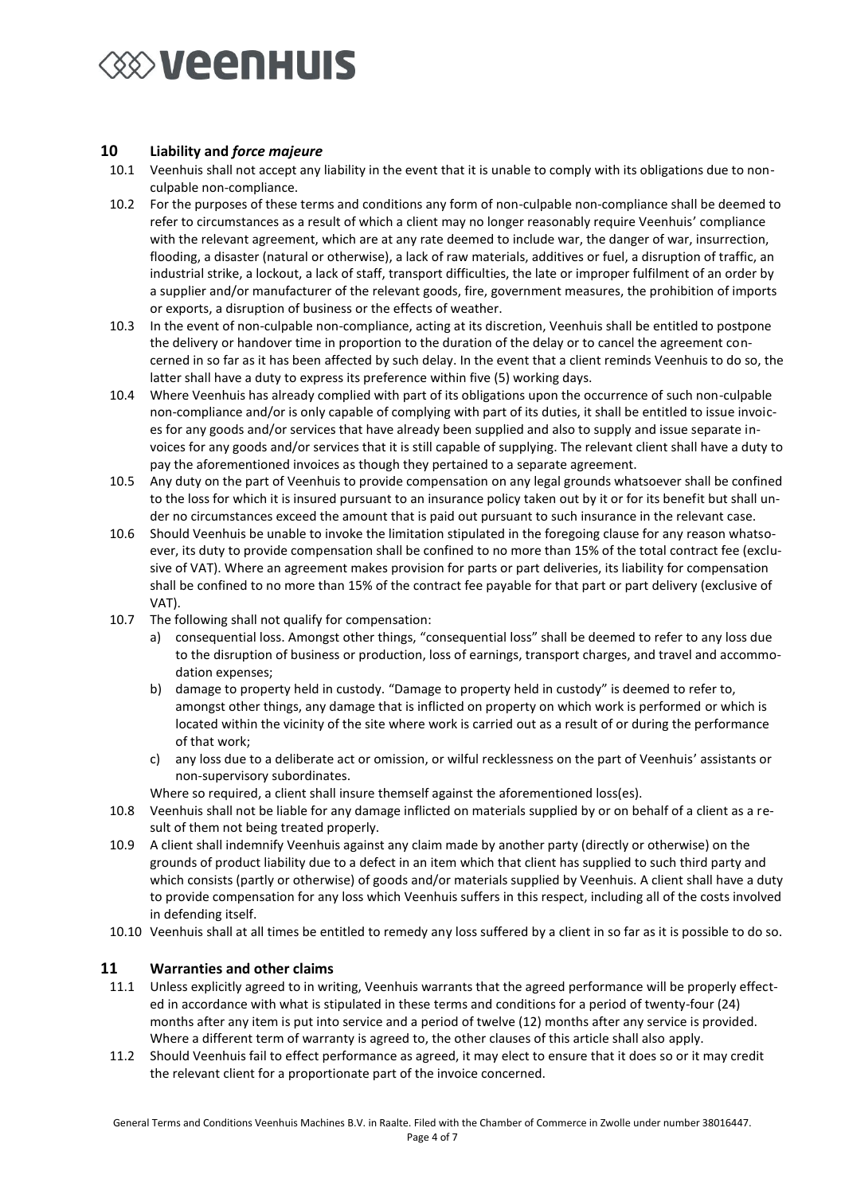## **EXAMPLE THE VEHICLE**

#### **10 Liability and** *force majeure*

- 10.1 Veenhuis shall not accept any liability in the event that it is unable to comply with its obligations due to nonculpable non-compliance.
- 10.2 For the purposes of these terms and conditions any form of non-culpable non-compliance shall be deemed to refer to circumstances as a result of which a client may no longer reasonably require Veenhuis' compliance with the relevant agreement, which are at any rate deemed to include war, the danger of war, insurrection, flooding, a disaster (natural or otherwise), a lack of raw materials, additives or fuel, a disruption of traffic, an industrial strike, a lockout, a lack of staff, transport difficulties, the late or improper fulfilment of an order by a supplier and/or manufacturer of the relevant goods, fire, government measures, the prohibition of imports or exports, a disruption of business or the effects of weather.
- 10.3 In the event of non-culpable non-compliance, acting at its discretion, Veenhuis shall be entitled to postpone the delivery or handover time in proportion to the duration of the delay or to cancel the agreement concerned in so far as it has been affected by such delay. In the event that a client reminds Veenhuis to do so, the latter shall have a duty to express its preference within five (5) working days.
- 10.4 Where Veenhuis has already complied with part of its obligations upon the occurrence of such non-culpable non-compliance and/or is only capable of complying with part of its duties, it shall be entitled to issue invoices for any goods and/or services that have already been supplied and also to supply and issue separate invoices for any goods and/or services that it is still capable of supplying. The relevant client shall have a duty to pay the aforementioned invoices as though they pertained to a separate agreement.
- 10.5 Any duty on the part of Veenhuis to provide compensation on any legal grounds whatsoever shall be confined to the loss for which it is insured pursuant to an insurance policy taken out by it or for its benefit but shall under no circumstances exceed the amount that is paid out pursuant to such insurance in the relevant case.
- 10.6 Should Veenhuis be unable to invoke the limitation stipulated in the foregoing clause for any reason whatsoever, its duty to provide compensation shall be confined to no more than 15% of the total contract fee (exclusive of VAT). Where an agreement makes provision for parts or part deliveries, its liability for compensation shall be confined to no more than 15% of the contract fee payable for that part or part delivery (exclusive of VAT).
- 10.7 The following shall not qualify for compensation:
	- a) consequential loss. Amongst other things, "consequential loss" shall be deemed to refer to any loss due to the disruption of business or production, loss of earnings, transport charges, and travel and accommodation expenses;
	- b) damage to property held in custody. "Damage to property held in custody" is deemed to refer to, amongst other things, any damage that is inflicted on property on which work is performed or which is located within the vicinity of the site where work is carried out as a result of or during the performance of that work;
	- c) any loss due to a deliberate act or omission, or wilful recklessness on the part of Veenhuis' assistants or non-supervisory subordinates.
	- Where so required, a client shall insure themself against the aforementioned loss(es).
- 10.8 Veenhuis shall not be liable for any damage inflicted on materials supplied by or on behalf of a client as a result of them not being treated properly.
- 10.9 A client shall indemnify Veenhuis against any claim made by another party (directly or otherwise) on the grounds of product liability due to a defect in an item which that client has supplied to such third party and which consists (partly or otherwise) of goods and/or materials supplied by Veenhuis. A client shall have a duty to provide compensation for any loss which Veenhuis suffers in this respect, including all of the costs involved in defending itself.
- 10.10 Veenhuis shall at all times be entitled to remedy any loss suffered by a client in so far as it is possible to do so.

#### **11 Warranties and other claims**

- 11.1 Unless explicitly agreed to in writing, Veenhuis warrants that the agreed performance will be properly effected in accordance with what is stipulated in these terms and conditions for a period of twenty-four (24) months after any item is put into service and a period of twelve (12) months after any service is provided. Where a different term of warranty is agreed to, the other clauses of this article shall also apply.
- 11.2 Should Veenhuis fail to effect performance as agreed, it may elect to ensure that it does so or it may credit the relevant client for a proportionate part of the invoice concerned.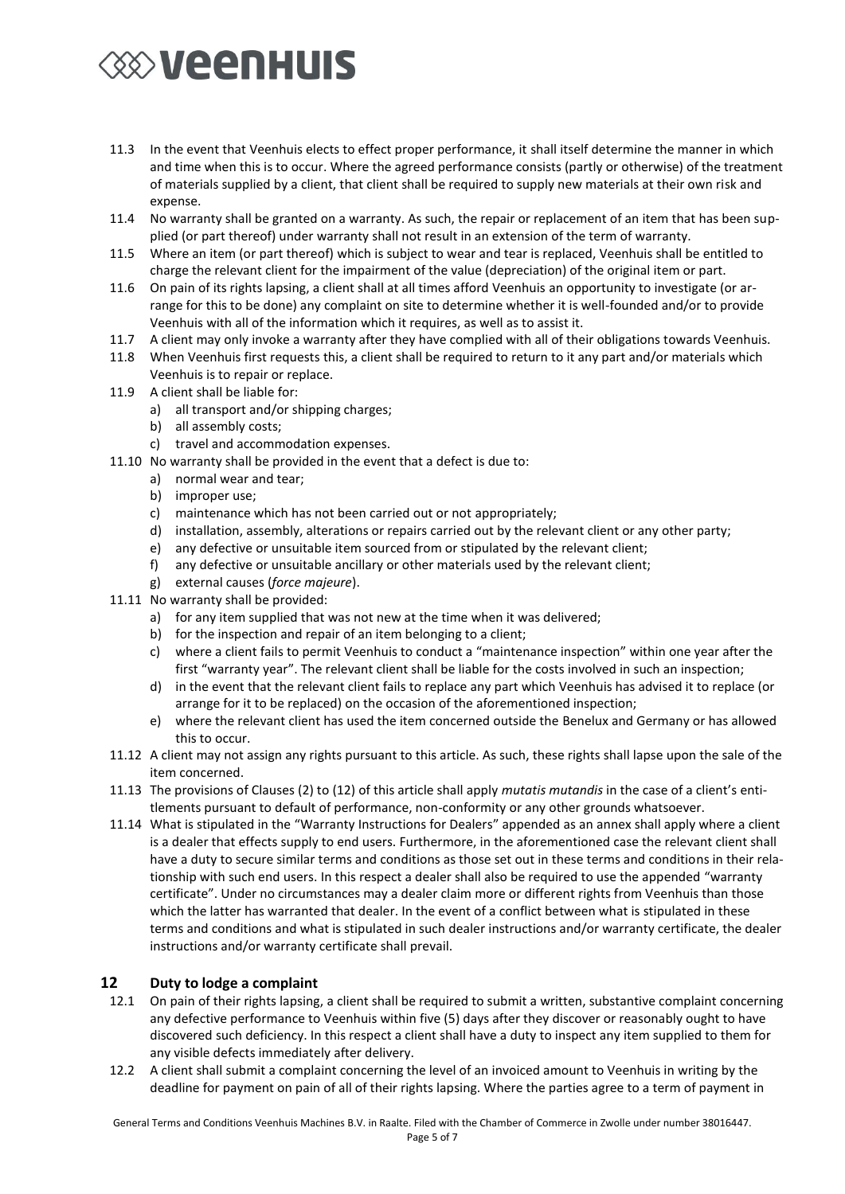# **EXAMPLE THE VEHICLE**

- 11.3 In the event that Veenhuis elects to effect proper performance, it shall itself determine the manner in which and time when this is to occur. Where the agreed performance consists (partly or otherwise) of the treatment of materials supplied by a client, that client shall be required to supply new materials at their own risk and expense.
- 11.4 No warranty shall be granted on a warranty. As such, the repair or replacement of an item that has been supplied (or part thereof) under warranty shall not result in an extension of the term of warranty.
- 11.5 Where an item (or part thereof) which is subject to wear and tear is replaced, Veenhuis shall be entitled to charge the relevant client for the impairment of the value (depreciation) of the original item or part.
- 11.6 On pain of its rights lapsing, a client shall at all times afford Veenhuis an opportunity to investigate (or arrange for this to be done) any complaint on site to determine whether it is well-founded and/or to provide Veenhuis with all of the information which it requires, as well as to assist it.
- 11.7 A client may only invoke a warranty after they have complied with all of their obligations towards Veenhuis.
- 11.8 When Veenhuis first requests this, a client shall be required to return to it any part and/or materials which Veenhuis is to repair or replace.
- 11.9 A client shall be liable for:
	- a) all transport and/or shipping charges;
	- b) all assembly costs;
	- c) travel and accommodation expenses.
- 11.10 No warranty shall be provided in the event that a defect is due to:
	- a) normal wear and tear;
	- b) improper use;
	- c) maintenance which has not been carried out or not appropriately;
	- d) installation, assembly, alterations or repairs carried out by the relevant client or any other party;
	- e) any defective or unsuitable item sourced from or stipulated by the relevant client;
	- f) any defective or unsuitable ancillary or other materials used by the relevant client;
	- g) external causes (*force majeure*).
- 11.11 No warranty shall be provided:
	- a) for any item supplied that was not new at the time when it was delivered;
	- b) for the inspection and repair of an item belonging to a client;
	- c) where a client fails to permit Veenhuis to conduct a "maintenance inspection" within one year after the first "warranty year". The relevant client shall be liable for the costs involved in such an inspection;
	- d) in the event that the relevant client fails to replace any part which Veenhuis has advised it to replace (or arrange for it to be replaced) on the occasion of the aforementioned inspection;
	- e) where the relevant client has used the item concerned outside the Benelux and Germany or has allowed this to occur.
- 11.12 A client may not assign any rights pursuant to this article. As such, these rights shall lapse upon the sale of the item concerned.
- 11.13 The provisions of Clauses (2) to (12) of this article shall apply *mutatis mutandis* in the case of a client's entitlements pursuant to default of performance, non-conformity or any other grounds whatsoever.
- 11.14 What is stipulated in the "Warranty Instructions for Dealers" appended as an annex shall apply where a client is a dealer that effects supply to end users. Furthermore, in the aforementioned case the relevant client shall have a duty to secure similar terms and conditions as those set out in these terms and conditions in their relationship with such end users. In this respect a dealer shall also be required to use the appended "warranty certificate". Under no circumstances may a dealer claim more or different rights from Veenhuis than those which the latter has warranted that dealer. In the event of a conflict between what is stipulated in these terms and conditions and what is stipulated in such dealer instructions and/or warranty certificate, the dealer instructions and/or warranty certificate shall prevail.

#### **12 Duty to lodge a complaint**

- 12.1 On pain of their rights lapsing, a client shall be required to submit a written, substantive complaint concerning any defective performance to Veenhuis within five (5) days after they discover or reasonably ought to have discovered such deficiency. In this respect a client shall have a duty to inspect any item supplied to them for any visible defects immediately after delivery.
- 12.2 A client shall submit a complaint concerning the level of an invoiced amount to Veenhuis in writing by the deadline for payment on pain of all of their rights lapsing. Where the parties agree to a term of payment in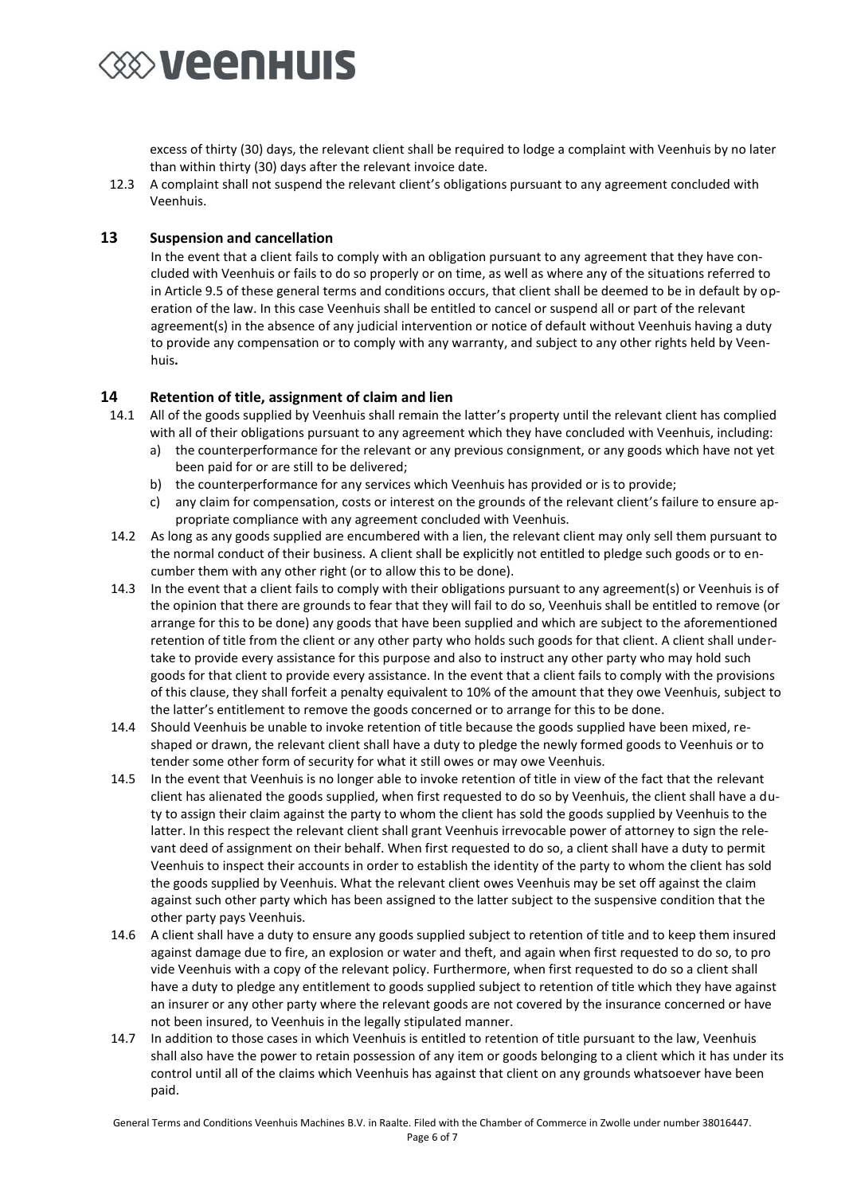

excess of thirty (30) days, the relevant client shall be required to lodge a complaint with Veenhuis by no later than within thirty (30) days after the relevant invoice date.

12.3 A complaint shall not suspend the relevant client's obligations pursuant to any agreement concluded with Veenhuis.

#### **13 Suspension and cancellation**

In the event that a client fails to comply with an obligation pursuant to any agreement that they have concluded with Veenhuis or fails to do so properly or on time, as well as where any of the situations referred to in Article 9.5 of these general terms and conditions occurs, that client shall be deemed to be in default by operation of the law. In this case Veenhuis shall be entitled to cancel or suspend all or part of the relevant agreement(s) in the absence of any judicial intervention or notice of default without Veenhuis having a duty to provide any compensation or to comply with any warranty, and subject to any other rights held by Veenhuis**.**

#### **14 Retention of title, assignment of claim and lien**

- 14.1 All of the goods supplied by Veenhuis shall remain the latter's property until the relevant client has complied with all of their obligations pursuant to any agreement which they have concluded with Veenhuis, including:
	- a) the counterperformance for the relevant or any previous consignment, or any goods which have not yet been paid for or are still to be delivered;
	- b) the counterperformance for any services which Veenhuis has provided or is to provide;
	- c) any claim for compensation, costs or interest on the grounds of the relevant client's failure to ensure appropriate compliance with any agreement concluded with Veenhuis.
- 14.2 As long as any goods supplied are encumbered with a lien, the relevant client may only sell them pursuant to the normal conduct of their business. A client shall be explicitly not entitled to pledge such goods or to encumber them with any other right (or to allow this to be done).
- 14.3 In the event that a client fails to comply with their obligations pursuant to any agreement(s) or Veenhuis is of the opinion that there are grounds to fear that they will fail to do so, Veenhuis shall be entitled to remove (or arrange for this to be done) any goods that have been supplied and which are subject to the aforementioned retention of title from the client or any other party who holds such goods for that client. A client shall undertake to provide every assistance for this purpose and also to instruct any other party who may hold such goods for that client to provide every assistance. In the event that a client fails to comply with the provisions of this clause, they shall forfeit a penalty equivalent to 10% of the amount that they owe Veenhuis, subject to the latter's entitlement to remove the goods concerned or to arrange for this to be done.
- 14.4 Should Veenhuis be unable to invoke retention of title because the goods supplied have been mixed, reshaped or drawn, the relevant client shall have a duty to pledge the newly formed goods to Veenhuis or to tender some other form of security for what it still owes or may owe Veenhuis.
- 14.5 In the event that Veenhuis is no longer able to invoke retention of title in view of the fact that the relevant client has alienated the goods supplied, when first requested to do so by Veenhuis, the client shall have a duty to assign their claim against the party to whom the client has sold the goods supplied by Veenhuis to the latter. In this respect the relevant client shall grant Veenhuis irrevocable power of attorney to sign the relevant deed of assignment on their behalf. When first requested to do so, a client shall have a duty to permit Veenhuis to inspect their accounts in order to establish the identity of the party to whom the client has sold the goods supplied by Veenhuis. What the relevant client owes Veenhuis may be set off against the claim against such other party which has been assigned to the latter subject to the suspensive condition that the other party pays Veenhuis.
- 14.6 A client shall have a duty to ensure any goods supplied subject to retention of title and to keep them insured against damage due to fire, an explosion or water and theft, and again when first requested to do so, to pro vide Veenhuis with a copy of the relevant policy. Furthermore, when first requested to do so a client shall have a duty to pledge any entitlement to goods supplied subject to retention of title which they have against an insurer or any other party where the relevant goods are not covered by the insurance concerned or have not been insured, to Veenhuis in the legally stipulated manner.
- 14.7 In addition to those cases in which Veenhuis is entitled to retention of title pursuant to the law, Veenhuis shall also have the power to retain possession of any item or goods belonging to a client which it has under its control until all of the claims which Veenhuis has against that client on any grounds whatsoever have been paid.